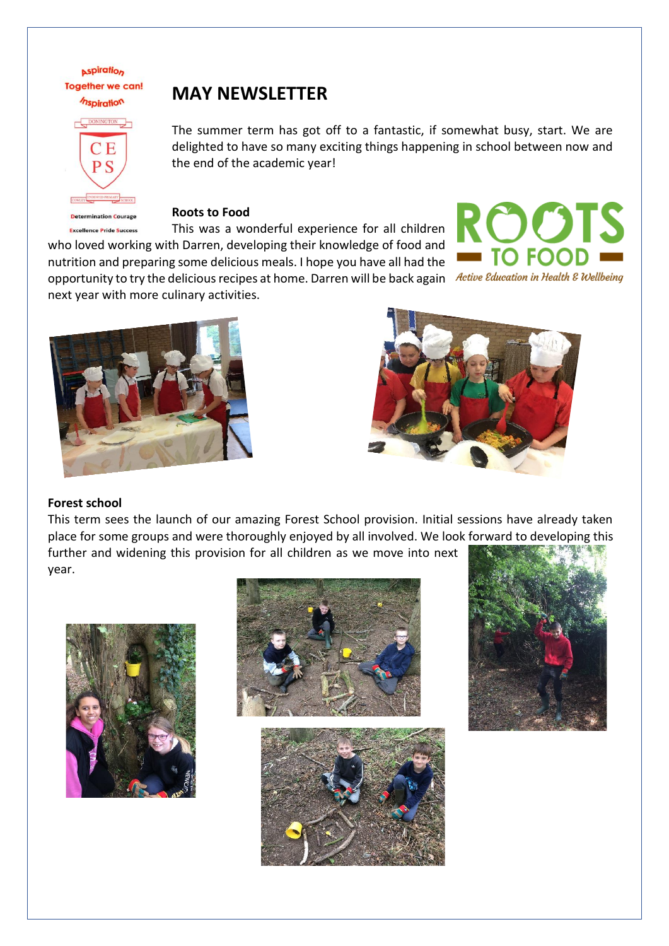**Aspiration Together we can!** *Inspiration* 



# **Determination Courage**

# **MAY NEWSLETTER**

The summer term has got off to a fantastic, if somewhat busy, start. We are delighted to have so many exciting things happening in school between now and the end of the academic year!

**Roots to Food**

This was a wonderful experience for all children **Excellence Pride Success** who loved working with Darren, developing their knowledge of food and nutrition and preparing some delicious meals. I hope you have all had the opportunity to try the delicious recipes at home. Darren will be back again Active Education in Health & Wellbeing next year with more culinary activities.







#### **Forest school**

This term sees the launch of our amazing Forest School provision. Initial sessions have already taken place for some groups and were thoroughly enjoyed by all involved. We look forward to developing this further and widening this provision for all children as we move into next year.







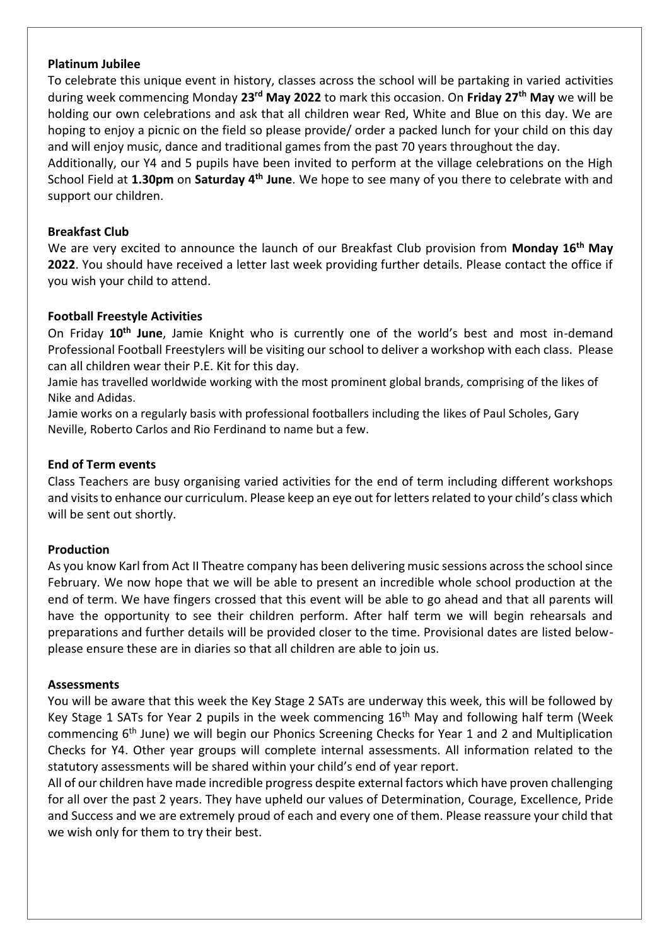#### **Platinum Jubilee**

To celebrate this unique event in history, classes across the school will be partaking in varied activities during week commencing Monday **23rd May 2022** to mark this occasion. On **Friday 27th May** we will be holding our own celebrations and ask that all children wear Red, White and Blue on this day. We are hoping to enjoy a picnic on the field so please provide/ order a packed lunch for your child on this day and will enjoy music, dance and traditional games from the past 70 years throughout the day.

Additionally, our Y4 and 5 pupils have been invited to perform at the village celebrations on the High School Field at **1.30pm** on **Saturday 4th June**. We hope to see many of you there to celebrate with and support our children.

#### **Breakfast Club**

We are very excited to announce the launch of our Breakfast Club provision from **Monday 16th May 2022**. You should have received a letter last week providing further details. Please contact the office if you wish your child to attend.

#### **Football Freestyle Activities**

On Friday **10th June**, Jamie Knight who is currently one of the world's best and most in-demand Professional Football Freestylers will be visiting our school to deliver a workshop with each class. Please can all children wear their P.E. Kit for this day.

Jamie has travelled worldwide working with the most prominent global brands, comprising of the likes of Nike and Adidas.

Jamie works on a regularly basis with professional footballers including the likes of Paul Scholes, Gary Neville, Roberto Carlos and Rio Ferdinand to name but a few.

#### **End of Term events**

Class Teachers are busy organising varied activities for the end of term including different workshops and visits to enhance our curriculum. Please keep an eye out for letters related to your child's class which will be sent out shortly.

#### **Production**

As you know Karl from Act II Theatre company has been delivering music sessions across the school since February. We now hope that we will be able to present an incredible whole school production at the end of term. We have fingers crossed that this event will be able to go ahead and that all parents will have the opportunity to see their children perform. After half term we will begin rehearsals and preparations and further details will be provided closer to the time. Provisional dates are listed belowplease ensure these are in diaries so that all children are able to join us.

#### **Assessments**

You will be aware that this week the Key Stage 2 SATs are underway this week, this will be followed by Key Stage 1 SATs for Year 2 pupils in the week commencing 16<sup>th</sup> May and following half term (Week commencing 6th June) we will begin our Phonics Screening Checks for Year 1 and 2 and Multiplication Checks for Y4. Other year groups will complete internal assessments. All information related to the statutory assessments will be shared within your child's end of year report.

All of our children have made incredible progress despite external factors which have proven challenging for all over the past 2 years. They have upheld our values of Determination, Courage, Excellence, Pride and Success and we are extremely proud of each and every one of them. Please reassure your child that we wish only for them to try their best.